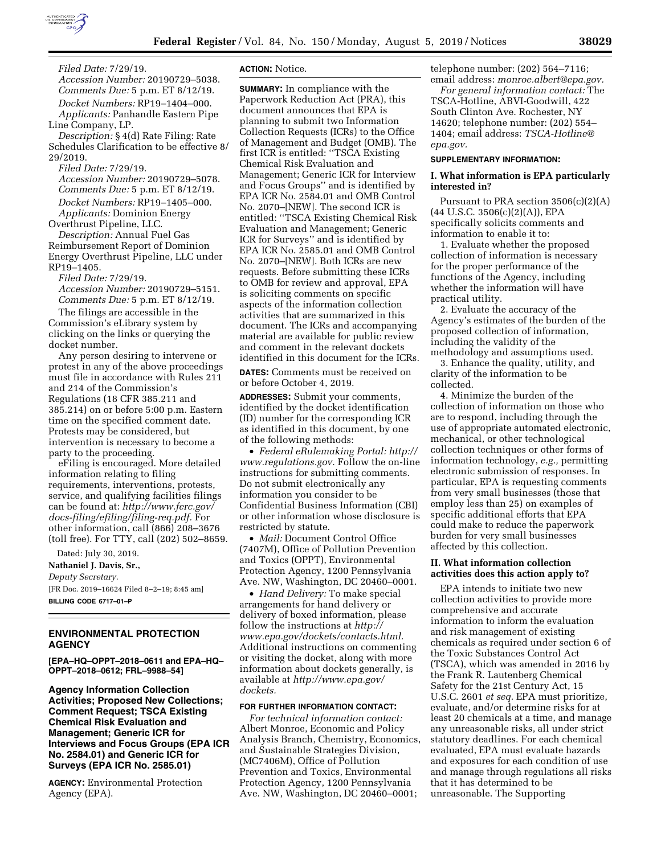

*Filed Date:* 7/29/19.

*Accession Number:* 20190729–5038. *Comments Due:* 5 p.m. ET 8/12/19. *Docket Numbers:* RP19–1404–000. *Applicants:* Panhandle Eastern Pipe Line Company, LP.

*Description:* § 4(d) Rate Filing: Rate Schedules Clarification to be effective 8/ 29/2019.

*Filed Date:* 7/29/19. *Accession Number:* 20190729–5078. *Comments Due:* 5 p.m. ET 8/12/19. *Docket Numbers:* RP19–1405–000. *Applicants:* Dominion Energy

Overthrust Pipeline, LLC.

*Description:* Annual Fuel Gas Reimbursement Report of Dominion Energy Overthrust Pipeline, LLC under RP19–1405.

*Filed Date:* 7/29/19. *Accession Number:* 20190729–5151. *Comments Due:* 5 p.m. ET 8/12/19.

The filings are accessible in the Commission's eLibrary system by clicking on the links or querying the docket number.

Any person desiring to intervene or protest in any of the above proceedings must file in accordance with Rules 211 and 214 of the Commission's Regulations (18 CFR 385.211 and 385.214) on or before 5:00 p.m. Eastern time on the specified comment date. Protests may be considered, but intervention is necessary to become a party to the proceeding.

eFiling is encouraged. More detailed information relating to filing requirements, interventions, protests, service, and qualifying facilities filings can be found at: *[http://www.ferc.gov/](http://www.ferc.gov/docs-filing/efiling/filing-req.pdf)  [docs-filing/efiling/filing-req.pdf.](http://www.ferc.gov/docs-filing/efiling/filing-req.pdf)* For other information, call (866) 208–3676 (toll free). For TTY, call (202) 502–8659.

Dated: July 30, 2019.

**Nathaniel J. Davis, Sr.,** 

*Deputy Secretary.* 

[FR Doc. 2019–16624 Filed 8–2–19; 8:45 am] **BILLING CODE 6717–01–P** 

## **ENVIRONMENTAL PROTECTION AGENCY**

**[EPA–HQ–OPPT–2018–0611 and EPA–HQ– OPPT–2018–0612; FRL–9988–54]** 

**Agency Information Collection Activities; Proposed New Collections; Comment Request; TSCA Existing Chemical Risk Evaluation and Management; Generic ICR for Interviews and Focus Groups (EPA ICR No. 2584.01) and Generic ICR for Surveys (EPA ICR No. 2585.01)** 

**AGENCY:** Environmental Protection Agency (EPA).

## **ACTION:** Notice.

**SUMMARY:** In compliance with the Paperwork Reduction Act (PRA), this document announces that EPA is planning to submit two Information Collection Requests (ICRs) to the Office of Management and Budget (OMB). The first ICR is entitled: ''TSCA Existing Chemical Risk Evaluation and Management; Generic ICR for Interview and Focus Groups'' and is identified by EPA ICR No. 2584.01 and OMB Control No. 2070–[NEW]. The second ICR is entitled: ''TSCA Existing Chemical Risk Evaluation and Management; Generic ICR for Surveys'' and is identified by EPA ICR No. 2585.01 and OMB Control No. 2070–[NEW]. Both ICRs are new requests. Before submitting these ICRs to OMB for review and approval, EPA is soliciting comments on specific aspects of the information collection activities that are summarized in this document. The ICRs and accompanying material are available for public review and comment in the relevant dockets identified in this document for the ICRs.

**DATES:** Comments must be received on or before October 4, 2019.

**ADDRESSES:** Submit your comments, identified by the docket identification (ID) number for the corresponding ICR as identified in this document, by one of the following methods:

• *Federal eRulemaking Portal: [http://](http://www.regulations.gov)  [www.regulations.gov.](http://www.regulations.gov)* Follow the on-line instructions for submitting comments. Do not submit electronically any information you consider to be Confidential Business Information (CBI) or other information whose disclosure is restricted by statute.

• *Mail:* Document Control Office (7407M), Office of Pollution Prevention and Toxics (OPPT), Environmental Protection Agency, 1200 Pennsylvania Ave. NW, Washington, DC 20460–0001.

• *Hand Delivery:* To make special arrangements for hand delivery or delivery of boxed information, please follow the instructions at *[http://](http://www.epa.gov/dockets/contacts.html) [www.epa.gov/dockets/contacts.html.](http://www.epa.gov/dockets/contacts.html)*  Additional instructions on commenting or visiting the docket, along with more information about dockets generally, is available at *[http://www.epa.gov/](http://www.epa.gov/dockets) [dockets.](http://www.epa.gov/dockets)* 

# **FOR FURTHER INFORMATION CONTACT:**

*For technical information contact:*  Albert Monroe, Economic and Policy Analysis Branch, Chemistry, Economics, and Sustainable Strategies Division, (MC7406M), Office of Pollution Prevention and Toxics, Environmental Protection Agency, 1200 Pennsylvania Ave. NW, Washington, DC 20460–0001;

telephone number: (202) 564–7116; email address: *[monroe.albert@epa.gov.](mailto:monroe.albert@epa.gov)* 

*For general information contact:* The TSCA-Hotline, ABVI-Goodwill, 422 South Clinton Ave. Rochester, NY 14620; telephone number: (202) 554– 1404; email address: *[TSCA-Hotline@](mailto:TSCA-Hotline@epa.gov) [epa.gov.](mailto:TSCA-Hotline@epa.gov)* 

## **SUPPLEMENTARY INFORMATION:**

# **I. What information is EPA particularly interested in?**

Pursuant to PRA section 3506(c)(2)(A) (44 U.S.C. 3506(c)(2)(A)), EPA specifically solicits comments and information to enable it to:

1. Evaluate whether the proposed collection of information is necessary for the proper performance of the functions of the Agency, including whether the information will have practical utility.

2. Evaluate the accuracy of the Agency's estimates of the burden of the proposed collection of information, including the validity of the methodology and assumptions used.

3. Enhance the quality, utility, and clarity of the information to be collected.

4. Minimize the burden of the collection of information on those who are to respond, including through the use of appropriate automated electronic, mechanical, or other technological collection techniques or other forms of information technology, *e.g.,* permitting electronic submission of responses. In particular, EPA is requesting comments from very small businesses (those that employ less than 25) on examples of specific additional efforts that EPA could make to reduce the paperwork burden for very small businesses affected by this collection.

## **II. What information collection activities does this action apply to?**

EPA intends to initiate two new collection activities to provide more comprehensive and accurate information to inform the evaluation and risk management of existing chemicals as required under section 6 of the Toxic Substances Control Act (TSCA), which was amended in 2016 by the Frank R. Lautenberg Chemical Safety for the 21st Century Act, 15 U.S.C. 2601 *et seq.* EPA must prioritize, evaluate, and/or determine risks for at least 20 chemicals at a time, and manage any unreasonable risks, all under strict statutory deadlines. For each chemical evaluated, EPA must evaluate hazards and exposures for each condition of use and manage through regulations all risks that it has determined to be unreasonable. The Supporting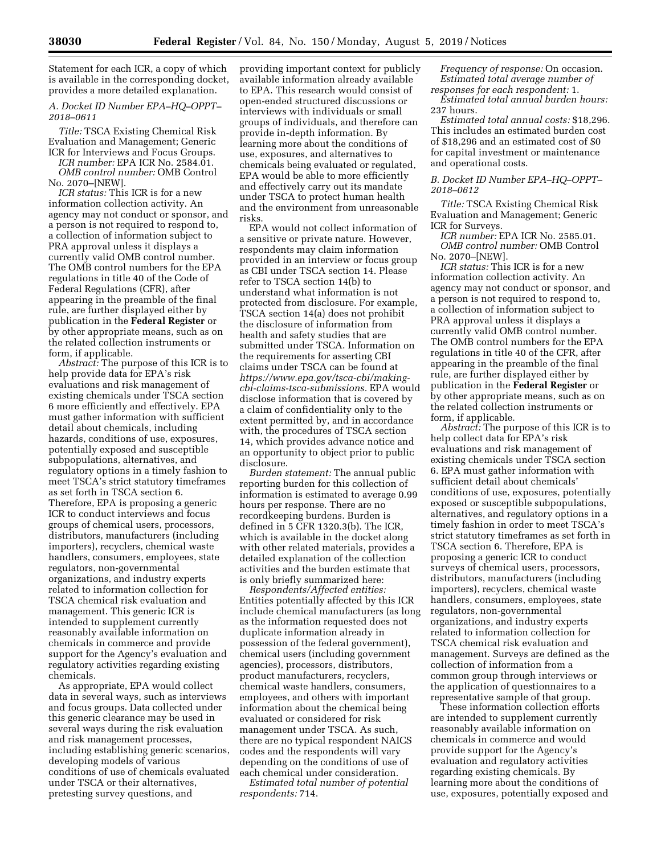Statement for each ICR, a copy of which is available in the corresponding docket, provides a more detailed explanation.

# *A. Docket ID Number EPA–HQ–OPPT– 2018–0611*

*Title:* TSCA Existing Chemical Risk Evaluation and Management; Generic ICR for Interviews and Focus Groups.

*ICR number:* EPA ICR No. 2584.01. *OMB control number:* OMB Control No. 2070–[NEW].

*ICR status:* This ICR is for a new information collection activity. An agency may not conduct or sponsor, and a person is not required to respond to, a collection of information subject to PRA approval unless it displays a currently valid OMB control number. The OMB control numbers for the EPA regulations in title 40 of the Code of Federal Regulations (CFR), after appearing in the preamble of the final rule, are further displayed either by publication in the **Federal Register** or by other appropriate means, such as on the related collection instruments or form, if applicable.

*Abstract:* The purpose of this ICR is to help provide data for EPA's risk evaluations and risk management of existing chemicals under TSCA section 6 more efficiently and effectively. EPA must gather information with sufficient detail about chemicals, including hazards, conditions of use, exposures, potentially exposed and susceptible subpopulations, alternatives, and regulatory options in a timely fashion to meet TSCA's strict statutory timeframes as set forth in TSCA section 6. Therefore, EPA is proposing a generic ICR to conduct interviews and focus groups of chemical users, processors, distributors, manufacturers (including importers), recyclers, chemical waste handlers, consumers, employees, state regulators, non-governmental organizations, and industry experts related to information collection for TSCA chemical risk evaluation and management. This generic ICR is intended to supplement currently reasonably available information on chemicals in commerce and provide support for the Agency's evaluation and regulatory activities regarding existing chemicals.

As appropriate, EPA would collect data in several ways, such as interviews and focus groups. Data collected under this generic clearance may be used in several ways during the risk evaluation and risk management processes, including establishing generic scenarios, developing models of various conditions of use of chemicals evaluated under TSCA or their alternatives, pretesting survey questions, and

providing important context for publicly available information already available to EPA. This research would consist of open-ended structured discussions or interviews with individuals or small groups of individuals, and therefore can provide in-depth information. By learning more about the conditions of use, exposures, and alternatives to chemicals being evaluated or regulated, EPA would be able to more efficiently and effectively carry out its mandate under TSCA to protect human health and the environment from unreasonable risks.

EPA would not collect information of a sensitive or private nature. However, respondents may claim information provided in an interview or focus group as CBI under TSCA section 14. Please refer to TSCA section 14(b) to understand what information is not protected from disclosure. For example, TSCA section 14(a) does not prohibit the disclosure of information from health and safety studies that are submitted under TSCA. Information on the requirements for asserting CBI claims under TSCA can be found at *[https://www.epa.gov/tsca-cbi/making](https://www.epa.gov/tsca-cbi/making-cbi-claims-tsca-submissions)[cbi-claims-tsca-submissions.](https://www.epa.gov/tsca-cbi/making-cbi-claims-tsca-submissions)* EPA would disclose information that is covered by a claim of confidentiality only to the extent permitted by, and in accordance with, the procedures of TSCA section 14, which provides advance notice and an opportunity to object prior to public disclosure.

*Burden statement:* The annual public reporting burden for this collection of information is estimated to average 0.99 hours per response. There are no recordkeeping burdens. Burden is defined in 5 CFR 1320.3(b). The ICR, which is available in the docket along with other related materials, provides a detailed explanation of the collection activities and the burden estimate that is only briefly summarized here:

*Respondents/Affected entities:*  Entities potentially affected by this ICR include chemical manufacturers (as long as the information requested does not duplicate information already in possession of the federal government), chemical users (including government agencies), processors, distributors, product manufacturers, recyclers, chemical waste handlers, consumers, employees, and others with important information about the chemical being evaluated or considered for risk management under TSCA. As such, there are no typical respondent NAICS codes and the respondents will vary depending on the conditions of use of each chemical under consideration.

*Estimated total number of potential respondents:* 714.

*Frequency of response:* On occasion. *Estimated total average number of responses for each respondent:* 1.

*Estimated total annual burden hours:*  237 hours.

*Estimated total annual costs:* \$18,296. This includes an estimated burden cost of \$18,296 and an estimated cost of \$0 for capital investment or maintenance and operational costs.

*B. Docket ID Number EPA–HQ–OPPT– 2018–0612* 

*Title:* TSCA Existing Chemical Risk Evaluation and Management; Generic ICR for Surveys.

*ICR number:* EPA ICR No. 2585.01. *OMB control number:* OMB Control No. 2070–[NEW].

*ICR status:* This ICR is for a new information collection activity. An agency may not conduct or sponsor, and a person is not required to respond to, a collection of information subject to PRA approval unless it displays a currently valid OMB control number. The OMB control numbers for the EPA regulations in title 40 of the CFR, after appearing in the preamble of the final rule, are further displayed either by publication in the **Federal Register** or by other appropriate means, such as on the related collection instruments or form, if applicable.

*Abstract:* The purpose of this ICR is to help collect data for EPA's risk evaluations and risk management of existing chemicals under TSCA section 6. EPA must gather information with sufficient detail about chemicals' conditions of use, exposures, potentially exposed or susceptible subpopulations, alternatives, and regulatory options in a timely fashion in order to meet TSCA's strict statutory timeframes as set forth in TSCA section 6. Therefore, EPA is proposing a generic ICR to conduct surveys of chemical users, processors, distributors, manufacturers (including importers), recyclers, chemical waste handlers, consumers, employees, state regulators, non-governmental organizations, and industry experts related to information collection for TSCA chemical risk evaluation and management. Surveys are defined as the collection of information from a common group through interviews or the application of questionnaires to a representative sample of that group.

These information collection efforts are intended to supplement currently reasonably available information on chemicals in commerce and would provide support for the Agency's evaluation and regulatory activities regarding existing chemicals. By learning more about the conditions of use, exposures, potentially exposed and